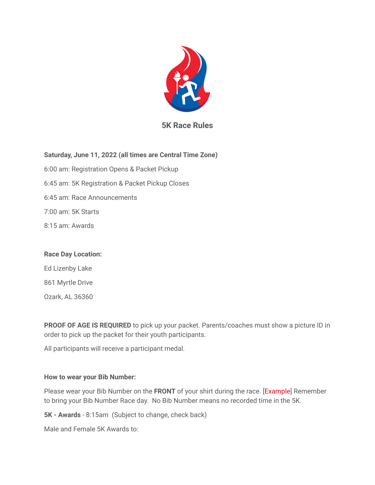

# **5K Race Rules**

# **Saturday, June 11, 2022 (all times are Central Time Zone)**

6:00 am: Registration Opens & Packet Pickup 6:45 am: 5K Registration & Packet Pickup Closes 6:45 am: Race Announcements 7:00 am: 5K Starts 8:15 am: Awards

### **Race Day Location:**

Ed Lizenby Lake 861 Myrtle Drive Ozark, AL 36360

**PROOF OF AGE IS REQUIRED** to pick up your packet. Parents/coaches must show a picture ID in order to pick up the packet for their youth participants.

All participants will receive a participant medal.

### **How to wear your Bib Number:**

Please wear your Bib Number on the **FRONT** of your shirt during the race. [\[Example](https://championship-racing.com/racing-101/wearing-your-bib/)] Remember to bring your Bib Number Race day. No Bib Number means no recorded time in the 5K.

**5K - Awards** - 8:15am (Subject to change, check back)

Male and Female 5K Awards to: